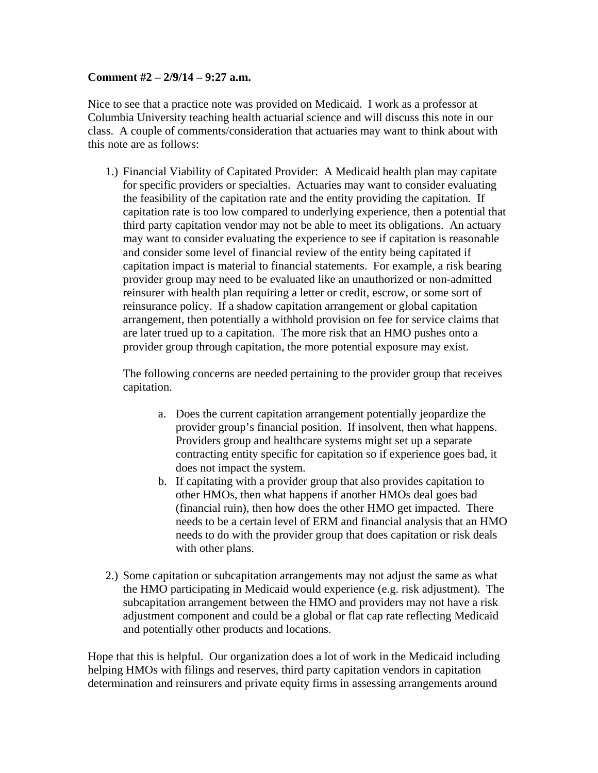## **Comment #2 – 2/9/14 – 9:27 a.m.**

Nice to see that a practice note was provided on Medicaid. I work as a professor at Columbia University teaching health actuarial science and will discuss this note in our class. A couple of comments/consideration that actuaries may want to think about with this note are as follows:

1.) Financial Viability of Capitated Provider: A Medicaid health plan may capitate for specific providers or specialties. Actuaries may want to consider evaluating the feasibility of the capitation rate and the entity providing the capitation. If capitation rate is too low compared to underlying experience, then a potential that third party capitation vendor may not be able to meet its obligations. An actuary may want to consider evaluating the experience to see if capitation is reasonable and consider some level of financial review of the entity being capitated if capitation impact is material to financial statements. For example, a risk bearing provider group may need to be evaluated like an unauthorized or non-admitted reinsurer with health plan requiring a letter or credit, escrow, or some sort of reinsurance policy. If a shadow capitation arrangement or global capitation arrangement, then potentially a withhold provision on fee for service claims that are later trued up to a capitation. The more risk that an HMO pushes onto a provider group through capitation, the more potential exposure may exist.

The following concerns are needed pertaining to the provider group that receives capitation.

- a. Does the current capitation arrangement potentially jeopardize the provider group's financial position. If insolvent, then what happens. Providers group and healthcare systems might set up a separate contracting entity specific for capitation so if experience goes bad, it does not impact the system.
- b. If capitating with a provider group that also provides capitation to other HMOs, then what happens if another HMOs deal goes bad (financial ruin), then how does the other HMO get impacted. There needs to be a certain level of ERM and financial analysis that an HMO needs to do with the provider group that does capitation or risk deals with other plans.
- 2.) Some capitation or subcapitation arrangements may not adjust the same as what the HMO participating in Medicaid would experience (e.g. risk adjustment). The subcapitation arrangement between the HMO and providers may not have a risk adjustment component and could be a global or flat cap rate reflecting Medicaid and potentially other products and locations.

Hope that this is helpful. Our organization does a lot of work in the Medicaid including helping HMOs with filings and reserves, third party capitation vendors in capitation determination and reinsurers and private equity firms in assessing arrangements around